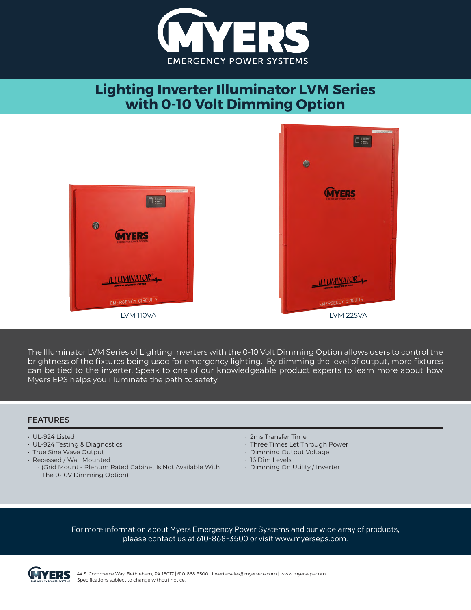

## **Lighting Inverter Illuminator LVM Series with 0-10 Volt Dimming Option**



The Illuminator LVM Series of Lighting Inverters with the 0-10 Volt Dimming Option allows users to control the brightness of the fixtures being used for emergency lighting. By dimming the level of output, more fixtures can be tied to the inverter. Speak to one of our knowledgeable product experts to learn more about how Myers EPS helps you illuminate the path to safety.

## **FEATURES**

- UL-924 Listed
- UL-924 Testing & Diagnostics
- True Sine Wave Output
- Recessed / Wall Mounted
	- (Grid Mount Plenum Rated Cabinet Is Not Available With The 0-10V Dimming Option)
- 2ms Transfer Time
- Three Times Let Through Power
- Dimming Output Voltage
- 16 Dim Levels
- Dimming On Utility / Inverter

For more information about Myers Emergency Power Systems and our wide array of products, please contact us at 610-868-3500 or visit www.myerseps.com.